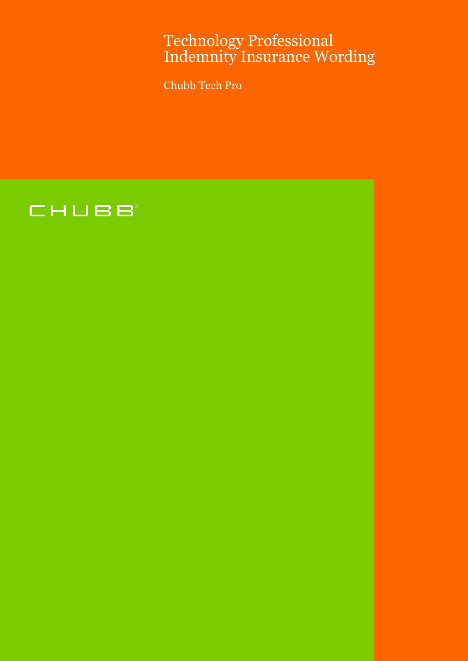# Technology Professional Indemnity Insurance Wording

Chubb Tech Pro

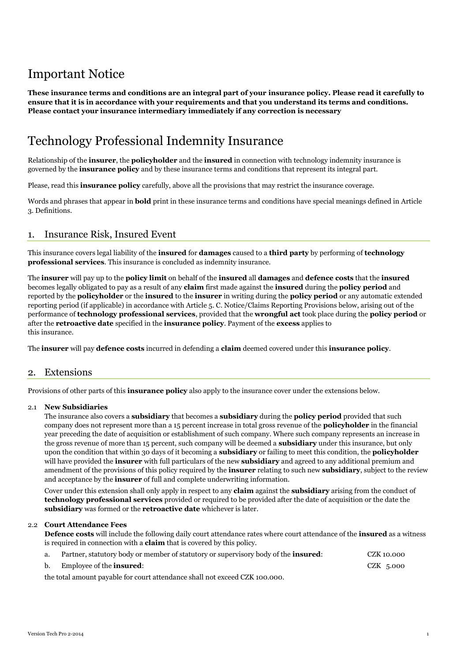# Important Notice

**These insurance terms and conditions are an integral part of your insurance policy. Please read it carefully to ensure that it is in accordance with your requirements and that you understand its terms and conditions. Please contact your insurance intermediary immediately if any correction is necessary**

# Technology Professional Indemnity Insurance

Relationship of the **insurer**, the **policyholder** and the **insured** in connection with technology indemnity insurance is governed by the **insurance policy** and by these insurance terms and conditions that represent its integral part.

Please, read this **insurance policy** carefully, above all the provisions that may restrict the insurance coverage.

Words and phrases that appear in **bold** print in these insurance terms and conditions have special meanings defined in Article 3. Definitions.

# 1. Insurance Risk, Insured Event

This insurance covers legal liability of the **insured** for **damages** caused to a **third party** by performing of **technology professional services**. This insurance is concluded as indemnity insurance.

The **insurer** will pay up to the **policy limit** on behalf of the **insured** all **damages** and **defence costs** that the **insured** becomes legally obligated to pay as a result of any **claim** first made against the **insured** during the **policy period** and reported by the **policyholder** or the **insured** to the **insurer** in writing during the **policy period** or any automatic extended reporting period (if applicable) in accordance with Article 5. C. Notice/Claims Reporting Provisions below, arising out of the performance of **technology professional services**, provided that the **wrongful act** took place during the **policy period** or after the **retroactive date** specified in the **insurance policy**. Payment of the **excess** applies to this insurance.

The **insurer** will pay **defence costs** incurred in defending a **claim** deemed covered under this **insurance policy**.

# 2. Extensions

Provisions of other parts of this **insurance policy** also apply to the insurance cover under the extensions below.

# 2.1 **New Subsidiaries**

The insurance also covers a **subsidiary** that becomes a **subsidiary** during the **policy period** provided that such company does not represent more than a 15 percent increase in total gross revenue of the **policyholder** in the financial year preceding the date of acquisition or establishment of such company. Where such company represents an increase in the gross revenue of more than 15 percent, such company will be deemed a **subsidiary** under this insurance, but only upon the condition that within 30 days of it becoming a **subsidiary** or failing to meet this condition, the **policyholder** will have provided the **insurer** with full particulars of the new **subsidiary** and agreed to any additional premium and amendment of the provisions of this policy required by the **insurer** relating to such new **subsidiary**, subject to the review and acceptance by the **insurer** of full and complete underwriting information.

Cover under this extension shall only apply in respect to any **claim** against the **subsidiary** arising from the conduct of **technology professional services** provided or required to be provided after the date of acquisition or the date the **subsidiary** was formed or the **retroactive date** whichever is later.

# 2.2 **Court Attendance Fees**

**Defence costs** will include the following daily court attendance rates where court attendance of the **insured** as a witness is required in connection with a **claim** that is covered by this policy.

| a.                                                                          | Partner, statutory body or member of statutory or supervisory body of the <b>insured</b> : | CZK 10.000 |
|-----------------------------------------------------------------------------|--------------------------------------------------------------------------------------------|------------|
| b.                                                                          | Employee of the <b>insured</b> :                                                           | CZK 5.000  |
| the total amount payable for court attendance shall not exceed CZK 100.000. |                                                                                            |            |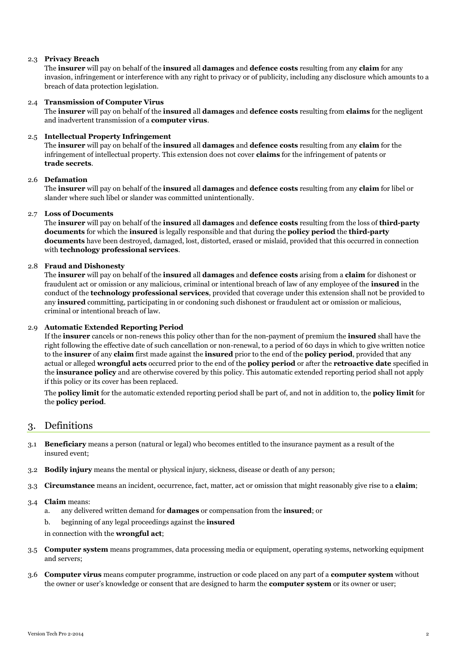## 2.3 **Privacy Breach**

The **insurer** will pay on behalf of the **insured** all **damages** and **defence costs** resulting from any **claim** for any invasion, infringement or interference with any right to privacy or of publicity, including any disclosure which amounts to a breach of data protection legislation.

## 2.4 **Transmission of Computer Virus**

The **insurer** will pay on behalf of the **insured** all **damages** and **defence costs** resulting from **claims** for the negligent and inadvertent transmission of a **computer virus**.

#### 2.5 **Intellectual Property Infringement**

The **insurer** will pay on behalf of the **insured** all **damages** and **defence costs** resulting from any **claim** for the infringement of intellectual property. This extension does not cover **claims** for the infringement of patents or **trade secrets**.

### 2.6 **Defamation**

The **insurer** will pay on behalf of the **insured** all **damages** and **defence costs** resulting from any **claim** for libel or slander where such libel or slander was committed unintentionally.

#### 2.7 **Loss of Documents**

The **insurer** will pay on behalf of the **insured** all **damages** and **defence costs** resulting from the loss of **third-party documents** for which the **insured** is legally responsible and that during the **policy period** the **third-party documents** have been destroyed, damaged, lost, distorted, erased or mislaid, provided that this occurred in connection with **technology professional services**.

### 2.8 **Fraud and Dishonesty**

The **insurer** will pay on behalf of the **insured** all **damages** and **defence costs** arising from a **claim** for dishonest or fraudulent act or omission or any malicious, criminal or intentional breach of law of any employee of the **insured** in the conduct of the **technology professional services**, provided that coverage under this extension shall not be provided to any **insured** committing, participating in or condoning such dishonest or fraudulent act or omission or malicious, criminal or intentional breach of law.

#### 2.9 **Automatic Extended Reporting Period**

If the **insurer** cancels or non-renews this policy other than for the non-payment of premium the **insured** shall have the right following the effective date of such cancellation or non-renewal, to a period of 60 days in which to give written notice to the **insurer** of any **claim** first made against the **insured** prior to the end of the **policy period**, provided that any actual or alleged **wrongful acts** occurred prior to the end of the **policy period** or after the **retroactive date** specified in the **insurance policy** and are otherwise covered by this policy. This automatic extended reporting period shall not apply if this policy or its cover has been replaced.

The **policy limit** for the automatic extended reporting period shall be part of, and not in addition to, the **policy limit** for the **policy period**.

# 3. Definitions

- 3.1 **Beneficiary** means a person (natural or legal) who becomes entitled to the insurance payment as a result of the insured event;
- 3.2 **Bodily injury** means the mental or physical injury, sickness, disease or death of any person;
- 3.3 **Circumstance** means an incident, occurrence, fact, matter, act or omission that might reasonably give rise to a **claim**;

#### 3.4 **Claim** means:

- a. any delivered written demand for **damages** or compensation from the **insured**; or
- b. beginning of any legal proceedings against the **insured**

in connection with the **wrongful act**;

- 3.5 **Computer system** means programmes, data processing media or equipment, operating systems, networking equipment and servers;
- 3.6 **Computer virus** means computer programme, instruction or code placed on any part of a **computer system** without the owner or user's knowledge or consent that are designed to harm the **computer system** or its owner or user;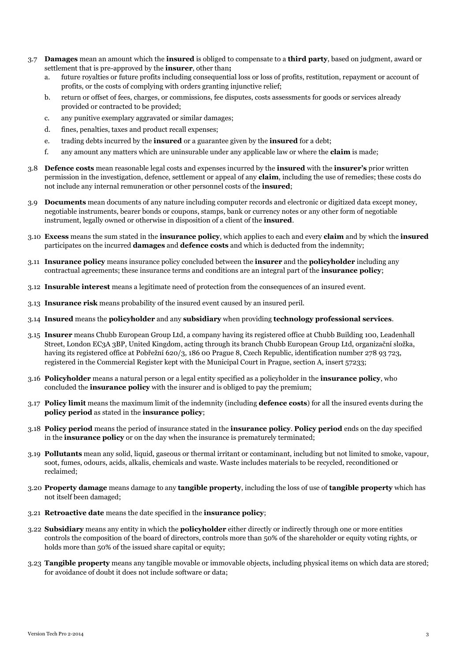- 3.7 **Damages** mean an amount which the **insured** is obliged to compensate to a **third party**, based on judgment, award or settlement that is pre-approved by the **insurer**, other than**;** 
	- a. future royalties or future profits including consequential loss or loss of profits, restitution, repayment or account of profits, or the costs of complying with orders granting injunctive relief;
	- b. return or offset of fees, charges, or commissions, fee disputes, costs assessments for goods or services already provided or contracted to be provided;
	- c. any punitive exemplary aggravated or similar damages;
	- d. fines, penalties, taxes and product recall expenses;
	- e. trading debts incurred by the **insured** or a guarantee given by the **insured** for a debt;
	- f. any amount any matters which are uninsurable under any applicable law or where the **claim** is made;
- 3.8 **Defence costs** mean reasonable legal costs and expenses incurred by the **insured** with the **insurer's** prior written permission in the investigation, defence, settlement or appeal of any **claim**, including the use of remedies; these costs do not include any internal remuneration or other personnel costs of the **insured**;
- 3.9 **Documents** mean documents of any nature including computer records and electronic or digitized data except money, negotiable instruments, bearer bonds or coupons, stamps, bank or currency notes or any other form of negotiable instrument, legally owned or otherwise in disposition of a client of the **insured**.
- 3.10 **Excess** means the sum stated in the **insurance policy**, which applies to each and every **claim** and by which the **insured** participates on the incurred **damages** and **defence costs** and which is deducted from the indemnity;
- 3.11 **Insurance policy** means insurance policy concluded between the **insurer** and the **policyholder** including any contractual agreements; these insurance terms and conditions are an integral part of the **insurance policy**;
- 3.12 **Insurable interest** means a legitimate need of protection from the consequences of an insured event.
- 3.13 **Insurance risk** means probability of the insured event caused by an insured peril.
- 3.14 **Insured** means the **policyholder** and any **subsidiary** when providing **technology professional services**.
- 3.15 **Insurer** means Chubb European Group Ltd, a company having its registered office at Chubb Building 100, Leadenhall Street, London EC3A 3BP, United Kingdom, acting through its branch Chubb European Group Ltd, organizační složka, having its registered office at Pobřežní 620/3, 186 00 Prague 8, Czech Republic, identification number 278 93 723, registered in the Commercial Register kept with the Municipal Court in Prague, section A, insert 57233;
- 3.16 **Policyholder** means a natural person or a legal entity specified as a policyholder in the **insurance policy**, who concluded the **insurance policy** with the insurer and is obliged to pay the premium;
- 3.17 **Policy limit** means the maximum limit of the indemnity (including **defence costs**) for all the insured events during the **policy period** as stated in the **insurance policy**;
- 3.18 **Policy period** means the period of insurance stated in the **insurance policy**. **Policy period** ends on the day specified in the **insurance policy** or on the day when the insurance is prematurely terminated;
- 3.19 **Pollutants** mean any solid, liquid, gaseous or thermal irritant or contaminant, including but not limited to smoke, vapour, soot, fumes, odours, acids, alkalis, chemicals and waste. Waste includes materials to be recycled, reconditioned or reclaimed;
- 3.20 **Property damage** means damage to any **tangible property**, including the loss of use of **tangible property** which has not itself been damaged;
- 3.21 **Retroactive date** means the date specified in the **insurance policy**;
- 3.22 **Subsidiary** means any entity in which the **policyholder** either directly or indirectly through one or more entities controls the composition of the board of directors, controls more than 50% of the shareholder or equity voting rights, or holds more than 50% of the issued share capital or equity;
- 3.23 **Tangible property** means any tangible movable or immovable objects, including physical items on which data are stored; for avoidance of doubt it does not include software or data;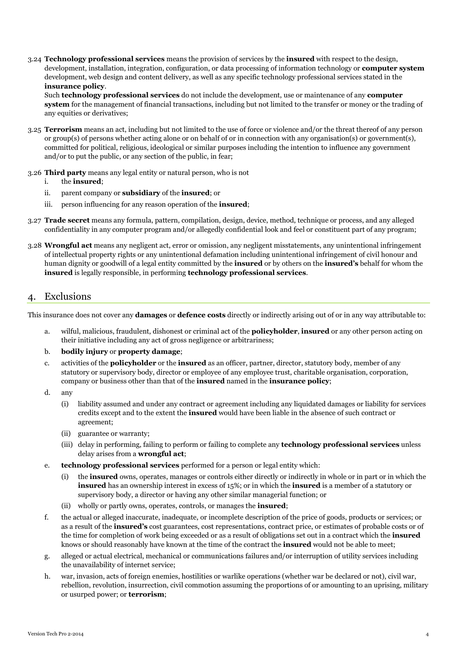3.24 **Technology professional services** means the provision of services by the **insured** with respect to the design, development, installation, integration, configuration, or data processing of information technology or **computer system** development, web design and content delivery, as well as any specific technology professional services stated in the **insurance policy**.

Such **technology professional services** do not include the development, use or maintenance of any **computer system** for the management of financial transactions, including but not limited to the transfer or money or the trading of any equities or derivatives;

- 3.25 **Terrorism** means an act, including but not limited to the use of force or violence and/or the threat thereof of any person or group(s) of persons whether acting alone or on behalf of or in connection with any organisation(s) or government(s), committed for political, religious, ideological or similar purposes including the intention to influence any government and/or to put the public, or any section of the public, in fear;
- 3.26 **Third party** means any legal entity or natural person, who is not
	- i. the **insured**;
	- ii. parent company or **subsidiary** of the **insured**; or
	- iii. person influencing for any reason operation of the **insured**;
- 3.27 **Trade secret** means any formula, pattern, compilation, design, device, method, technique or process, and any alleged confidentiality in any computer program and/or allegedly confidential look and feel or constituent part of any program;
- 3.28 **Wrongful act** means any negligent act, error or omission, any negligent misstatements, any unintentional infringement of intellectual property rights or any unintentional defamation including unintentional infringement of civil honour and human dignity or goodwill of a legal entity committed by the **insured** or by others on the **insured's** behalf for whom the **insured** is legally responsible, in performing **technology professional services**.

# 4. Exclusions

This insurance does not cover any **damages** or **defence costs** directly or indirectly arising out of or in any way attributable to:

- a. wilful, malicious, fraudulent, dishonest or criminal act of the **policyholder**, **insured** or any other person acting on their initiative including any act of gross negligence or arbitrariness;
- b. **bodily injury** or **property damage**;
- c. activities of the **policyholder** or the **insured** as an officer, partner, director, statutory body, member of any statutory or supervisory body, director or employee of any employee trust, charitable organisation, corporation, company or business other than that of the **insured** named in the **insurance policy**;
- d. any
	- (i) liability assumed and under any contract or agreement including any liquidated damages or liability for services credits except and to the extent the **insured** would have been liable in the absence of such contract or agreement;
	- (ii) guarantee or warranty;
	- (iii) delay in performing, failing to perform or failing to complete any **technology professional services** unless delay arises from a **wrongful act**;
- e. **technology professional services** performed for a person or legal entity which:
	- (i) the **insured** owns, operates, manages or controls either directly or indirectly in whole or in part or in which the **insured** has an ownership interest in excess of 15%; or in which the **insured** is a member of a statutory or supervisory body, a director or having any other similar managerial function; or
	- (ii) wholly or partly owns, operates, controls, or manages the **insured**;
- f. the actual or alleged inaccurate, inadequate, or incomplete description of the price of goods, products or services; or as a result of the **insured's** cost guarantees, cost representations, contract price, or estimates of probable costs or of the time for completion of work being exceeded or as a result of obligations set out in a contract which the **insured** knows or should reasonably have known at the time of the contract the **insured** would not be able to meet;
- g. alleged or actual electrical, mechanical or communications failures and/or interruption of utility services including the unavailability of internet service;
- h. war, invasion, acts of foreign enemies, hostilities or warlike operations (whether war be declared or not), civil war, rebellion, revolution, insurrection, civil commotion assuming the proportions of or amounting to an uprising, military or usurped power; or **terrorism**;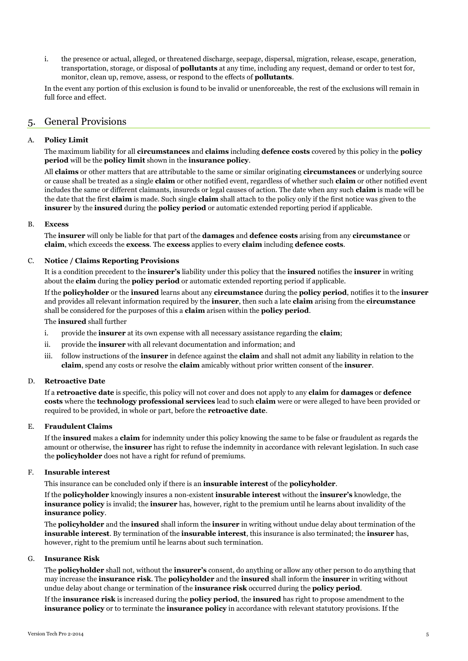i. the presence or actual, alleged, or threatened discharge, seepage, dispersal, migration, release, escape, generation, transportation, storage, or disposal of **pollutants** at any time, including any request, demand or order to test for, monitor, clean up, remove, assess, or respond to the effects of **pollutants**.

In the event any portion of this exclusion is found to be invalid or unenforceable, the rest of the exclusions will remain in full force and effect.

# 5. General Provisions

# A. **Policy Limit**

The maximum liability for all **circumstances** and **claims** including **defence costs** covered by this policy in the **policy period** will be the **policy limit** shown in the **insurance policy**.

All **claims** or other matters that are attributable to the same or similar originating **circumstances** or underlying source or cause shall be treated as a single **claim** or other notified event, regardless of whether such **claim** or other notified event includes the same or different claimants, insureds or legal causes of action. The date when any such **claim** is made will be the date that the first **claim** is made. Such single **claim** shall attach to the policy only if the first notice was given to the **insurer** by the **insured** during the **policy period** or automatic extended reporting period if applicable.

### B. **Excess**

The **insurer** will only be liable for that part of the **damages** and **defence costs** arising from any **circumstance** or **claim**, which exceeds the **excess**. The **excess** applies to every **claim** including **defence costs**.

# C. **Notice / Claims Reporting Provisions**

It is a condition precedent to the **insurer's** liability under this policy that the **insured** notifies the **insurer** in writing about the **claim** during the **policy period** or automatic extended reporting period if applicable.

If the **policyholder** or the **insured** learns about any **circumstance** during the **policy period**, notifies it to the **insurer** and provides all relevant information required by the **insurer**, then such a late **claim** arising from the **circumstance**  shall be considered for the purposes of this a **claim** arisen within the **policy period**.

The **insured** shall further

- i. provide the **insurer** at its own expense with all necessary assistance regarding the **claim**;
- ii. provide the **insurer** with all relevant documentation and information; and
- iii. follow instructions of the **insurer** in defence against the **claim** and shall not admit any liability in relation to the **claim**, spend any costs or resolve the **claim** amicably without prior written consent of the **insurer**.

# D. **Retroactive Date**

If a **retroactive date** is specific, this policy will not cover and does not apply to any **claim** for **damages** or **defence costs** where the **technology professional services** lead to such **claim** were or were alleged to have been provided or required to be provided, in whole or part, before the **retroactive date**.

# E. **Fraudulent Claims**

If the **insured** makes a **claim** for indemnity under this policy knowing the same to be false or fraudulent as regards the amount or otherwise, the **insurer** has right to refuse the indemnity in accordance with relevant legislation. In such case the **policyholder** does not have a right for refund of premiums.

# F. **Insurable interest**

This insurance can be concluded only if there is an **insurable interest** of the **policyholder**.

If the **policyholder** knowingly insures a non-existent **insurable interest** without the **insurer's** knowledge, the **insurance policy** is invalid; the **insurer** has, however, right to the premium until he learns about invalidity of the **insurance policy**.

The **policyholder** and the **insured** shall inform the **insurer** in writing without undue delay about termination of the **insurable interest**. By termination of the **insurable interest**, this insurance is also terminated; the **insurer** has, however, right to the premium until he learns about such termination.

#### G. **Insurance Risk**

The **policyholder** shall not, without the **insurer's** consent, do anything or allow any other person to do anything that may increase the **insurance risk**. The **policyholder** and the **insured** shall inform the **insurer** in writing without undue delay about change or termination of the **insurance risk** occurred during the **policy period**.

If the **insurance risk** is increased during the **policy period**, the **insured** has right to propose amendment to the **insurance policy** or to terminate the **insurance policy** in accordance with relevant statutory provisions. If the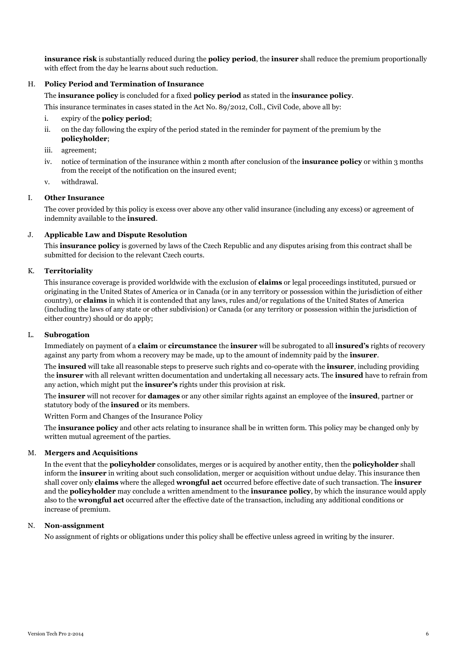**insurance risk** is substantially reduced during the **policy period**, the **insurer** shall reduce the premium proportionally with effect from the day he learns about such reduction.

## H. **Policy Period and Termination of Insurance**

The **insurance policy** is concluded for a fixed **policy period** as stated in the **insurance policy**.

This insurance terminates in cases stated in the Act No. 89/2012, Coll., Civil Code, above all by:

- i. expiry of the **policy period**;
- ii. on the day following the expiry of the period stated in the reminder for payment of the premium by the **policyholder**;
- iii. agreement;
- iv. notice of termination of the insurance within 2 month after conclusion of the **insurance policy** or within 3 months from the receipt of the notification on the insured event;
- v. withdrawal.

#### I. **Other Insurance**

The cover provided by this policy is excess over above any other valid insurance (including any excess) or agreement of indemnity available to the **insured**.

#### J. **Applicable Law and Dispute Resolution**

This **insurance policy** is governed by laws of the Czech Republic and any disputes arising from this contract shall be submitted for decision to the relevant Czech courts.

# K. **Territoriality**

This insurance coverage is provided worldwide with the exclusion of **claims** or legal proceedings instituted, pursued or originating in the United States of America or in Canada (or in any territory or possession within the jurisdiction of either country), or **claims** in which it is contended that any laws, rules and/or regulations of the United States of America (including the laws of any state or other subdivision) or Canada (or any territory or possession within the jurisdiction of either country) should or do apply;

### L. **Subrogation**

Immediately on payment of a **claim** or **circumstance** the **insurer** will be subrogated to all **insured's** rights of recovery against any party from whom a recovery may be made, up to the amount of indemnity paid by the **insurer**.

The **insured** will take all reasonable steps to preserve such rights and co-operate with the **insurer**, including providing the **insurer** with all relevant written documentation and undertaking all necessary acts. The **insured** have to refrain from any action, which might put the **insurer's** rights under this provision at risk.

The **insurer** will not recover for **damages** or any other similar rights against an employee of the **insured**, partner or statutory body of the **insured** or its members.

Written Form and Changes of the Insurance Policy

The **insurance policy** and other acts relating to insurance shall be in written form. This policy may be changed only by written mutual agreement of the parties.

#### M. **Mergers and Acquisitions**

In the event that the **policyholder** consolidates, merges or is acquired by another entity, then the **policyholder** shall inform the **insurer** in writing about such consolidation, merger or acquisition without undue delay. This insurance then shall cover only **claims** where the alleged **wrongful act** occurred before effective date of such transaction. The **insurer** and the **policyholder** may conclude a written amendment to the **insurance policy**, by which the insurance would apply also to the **wrongful act** occurred after the effective date of the transaction, including any additional conditions or increase of premium.

### N. **Non-assignment**

No assignment of rights or obligations under this policy shall be effective unless agreed in writing by the insurer.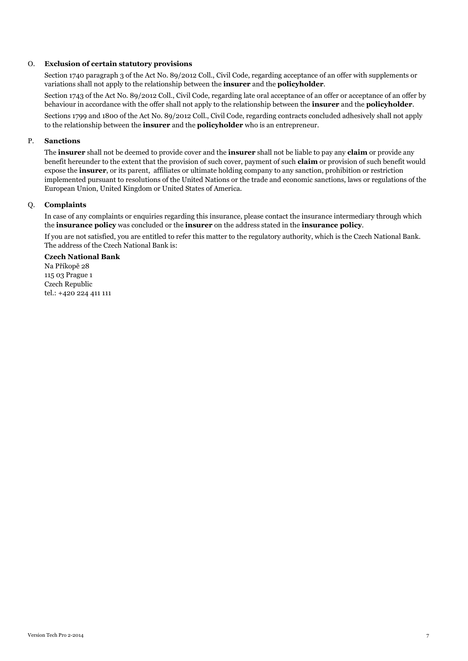# O. **Exclusion of certain statutory provisions**

Section 1740 paragraph 3 of the Act No. 89/2012 Coll., Civil Code, regarding acceptance of an offer with supplements or variations shall not apply to the relationship between the **insurer** and the **policyholder**.

Section 1743 of the Act No. 89/2012 Coll., Civil Code, regarding late oral acceptance of an offer or acceptance of an offer by behaviour in accordance with the offer shall not apply to the relationship between the **insurer** and the **policyholder**.

Sections 1799 and 1800 of the Act No. 89/2012 Coll., Civil Code, regarding contracts concluded adhesively shall not apply to the relationship between the **insurer** and the **policyholder** who is an entrepreneur.

# P. **Sanctions**

The **insurer** shall not be deemed to provide cover and the **insurer** shall not be liable to pay any **claim** or provide any benefit hereunder to the extent that the provision of such cover, payment of such **claim** or provision of such benefit would expose the **insurer**, or its parent, affiliates or ultimate holding company to any sanction, prohibition or restriction implemented pursuant to resolutions of the United Nations or the trade and economic sanctions, laws or regulations of the European Union, United Kingdom or United States of America.

### Q. **Complaints**

In case of any complaints or enquiries regarding this insurance, please contact the insurance intermediary through which the **insurance policy** was concluded or the **insurer** on the address stated in the **insurance policy**.

If you are not satisfied, you are entitled to refer this matter to the regulatory authority, which is the Czech National Bank. The address of the Czech National Bank is:

### **Czech National Bank**

Na Příkopě 28 115 03 Prague 1 Czech Republic tel.: +420 224 411 111